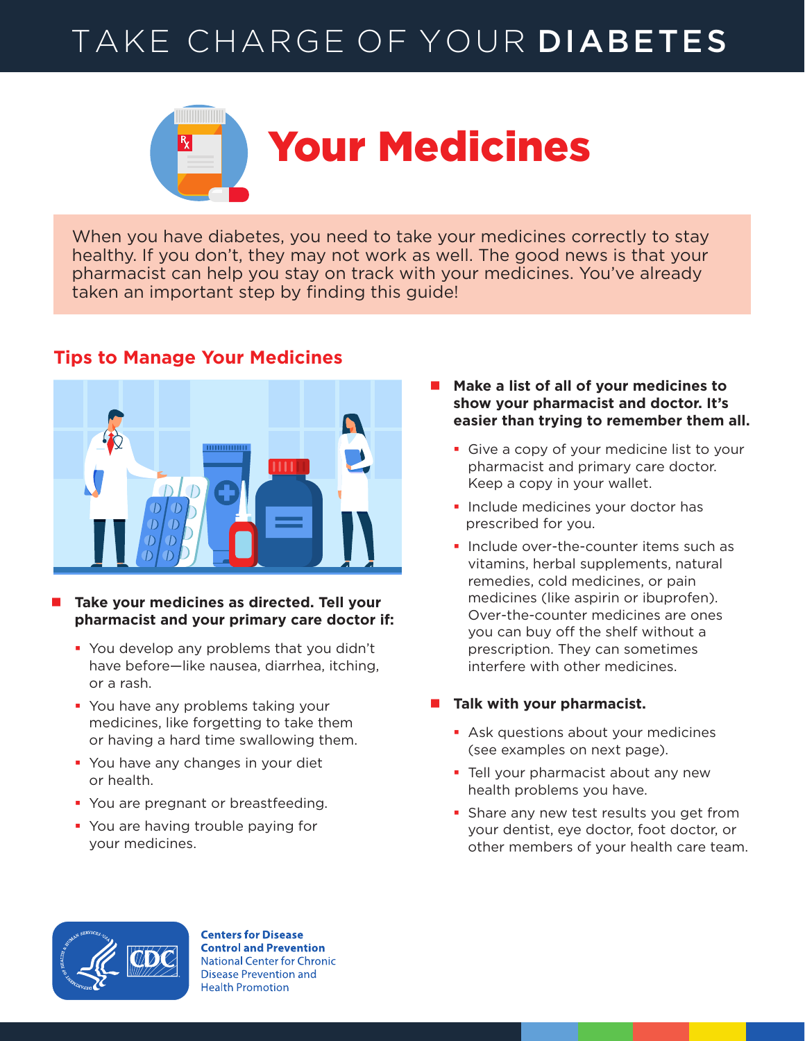# TAKE CHARGE OF YOUR DIABETES



When you have diabetes, you need to take your medicines correctly to stay healthy. If you don't, they may not work as well. The good news is that your pharmacist can help you stay on track with your medicines. You've already taken an important step by finding this guide!



## **Tips to Manage Your Medicines**

- Take your medicines as directed. Tell your **pharmacist and your primary care doctor if:**
	- **You develop any problems that you didn't** have before—like nausea, diarrhea, itching, or a rash.
	- You have any problems taking your medicines, like forgetting to take them or having a hard time swallowing them.
	- **You have any changes in your diet** or health.
	- You are pregnant or breastfeeding.
	- **You are having trouble paying for** your medicines.
- Make a list of all of your medicines to **show your pharmacist and doctor. It's easier than trying to remember them all.**
	- Give a copy of your medicine list to your pharmacist and primary care doctor. Keep a copy in your wallet.
	- **Include medicines your doctor has** prescribed for you.
	- **Include over-the-counter items such as** vitamins, herbal supplements, natural remedies, cold medicines, or pain medicines (like aspirin or ibuprofen). Over-the-counter medicines are ones you can buy off the shelf without a prescription. They can sometimes interfere with other medicines.

#### **Talk with your pharmacist.**

- **Ask questions about your medicines** (see examples on next page).
- **Tell your pharmacist about any new** health problems you have.
- **Share any new test results you get from** your dentist, eye doctor, foot doctor, or other members of your health care team.



**Centers for Disease Control and Prevention National Center for Chronic Disease Prevention and Health Promotion**